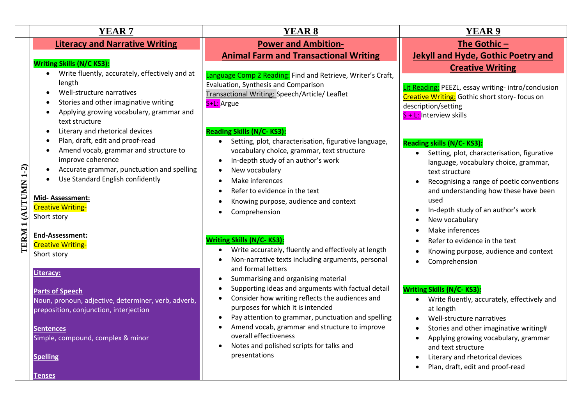|                     | <b>YEAR7</b>                                                                                                                                                                                                                                                                                                                                    | <b>YEAR 8</b>                                                                                                                                                                                                                                                                                                                                                                                                                                                                                      | <b>YEAR 9</b>                                                                                                                                                                                                                                                                                                                                                                                                                                       |
|---------------------|-------------------------------------------------------------------------------------------------------------------------------------------------------------------------------------------------------------------------------------------------------------------------------------------------------------------------------------------------|----------------------------------------------------------------------------------------------------------------------------------------------------------------------------------------------------------------------------------------------------------------------------------------------------------------------------------------------------------------------------------------------------------------------------------------------------------------------------------------------------|-----------------------------------------------------------------------------------------------------------------------------------------------------------------------------------------------------------------------------------------------------------------------------------------------------------------------------------------------------------------------------------------------------------------------------------------------------|
|                     | <b>Literacy and Narrative Writing</b>                                                                                                                                                                                                                                                                                                           | <b>Power and Ambition-</b><br><b>Animal Farm and Transactional Writing</b>                                                                                                                                                                                                                                                                                                                                                                                                                         | The Gothic $-$<br><b>Jekyll and Hyde, Gothic Poetry and</b>                                                                                                                                                                                                                                                                                                                                                                                         |
|                     | <b>Writing Skills (N/C KS3):</b><br>Write fluently, accurately, effectively and at<br>length<br>Well-structure narratives<br>Stories and other imaginative writing<br>Applying growing vocabulary, grammar and<br>text structure                                                                                                                | Language Comp 2 Reading: Find and Retrieve, Writer's Craft,<br>Evaluation, Synthesis and Comparison<br>Transactional Writing: Speech/Article/ Leaflet<br>S+L: Argue                                                                                                                                                                                                                                                                                                                                | <b>Creative Writing</b><br>Lit Reading: PEEZL, essay writing- intro/conclusion<br>Creative Writing: Gothic short story- focus on<br>description/setting<br>S + L: Interview skills                                                                                                                                                                                                                                                                  |
| TERM 1 (AUTUMN 1-2) | Literary and rhetorical devices<br>Plan, draft, edit and proof-read<br>Amend vocab, grammar and structure to<br>improve coherence<br>Accurate grammar, punctuation and spelling<br>Use Standard English confidently<br>Mid-Assessment:<br><b>Creative Writing-</b><br>Short story<br>End-Assessment:<br><b>Creative Writing-</b><br>Short story | <b>Reading Skills (N/C-KS3):</b><br>Setting, plot, characterisation, figurative language,<br>vocabulary choice, grammar, text structure<br>In-depth study of an author's work<br>٠<br>New vocabulary<br>$\bullet$<br>Make inferences<br>$\bullet$<br>Refer to evidence in the text<br>Knowing purpose, audience and context<br>Comprehension<br><b>Writing Skills (N/C-KS3):</b><br>Write accurately, fluently and effectively at length<br>Non-narrative texts including arguments, personal<br>٠ | <b>Reading skills (N/C-KS3):</b><br>Setting, plot, characterisation, figurative<br>$\bullet$<br>language, vocabulary choice, grammar,<br>text structure<br>Recognising a range of poetic conventions<br>$\bullet$<br>and understanding how these have been<br>used<br>In-depth study of an author's work<br>٠<br>New vocabulary<br>٠<br>Make inferences<br>$\bullet$<br>Refer to evidence in the text<br>Knowing purpose, audience and context<br>٠ |
|                     | Literacy:<br><b>Parts of Speech</b><br>Noun, pronoun, adjective, determiner, verb, adverb,<br>preposition, conjunction, interjection<br><b>Sentences</b><br>Simple, compound, complex & minor<br><b>Spelling</b><br><b>Tenses</b>                                                                                                               | and formal letters<br>Summarising and organising material<br>٠<br>Supporting ideas and arguments with factual detail<br>$\bullet$<br>Consider how writing reflects the audiences and<br>$\bullet$<br>purposes for which it is intended<br>Pay attention to grammar, punctuation and spelling<br>$\bullet$<br>Amend vocab, grammar and structure to improve<br>overall effectiveness<br>Notes and polished scripts for talks and<br>$\bullet$<br>presentations                                      | Comprehension<br>$\bullet$<br><b>Writing Skills (N/C-KS3):</b><br>Write fluently, accurately, effectively and<br>$\bullet$<br>at length<br>Well-structure narratives<br>$\bullet$<br>Stories and other imaginative writing#<br>$\bullet$<br>Applying growing vocabulary, grammar<br>$\bullet$<br>and text structure<br>Literary and rhetorical devices<br>٠<br>Plan, draft, edit and proof-read<br>$\bullet$                                        |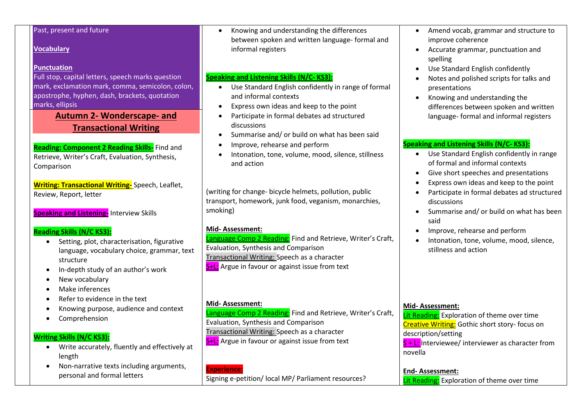### Past, present and future

### **Vocabulary**

#### **Punctuation**

Full stop, capital letters, speech marks question mark, exclamation mark, comma, semicolon, colon, apostrophe, hyphen, dash, brackets, quotation marks, ellipsis

> **Autumn 2- Wonderscape- and Transactional Writing**

**Reading: Component 2 Reading Skills-** Find and Retrieve, Writer's Craft, Evaluation, Synthesis, Comparison

**Writing: Transactional Writing-** Speech, Leaflet, Review, Report, letter

**Speaking and Listening-** Interview Skills

#### **Reading Skills (N/C KS3):**

- Setting, plot, characterisation, figurative language, vocabulary choice, grammar, text structure
- In-depth study of an author's work
- New vocabulary
- Make inferences
- Refer to evidence in the text
- Knowing purpose, audience and context
- Comprehension

#### **Writing Skills (N/C KS3):**

- Write accurately, fluently and effectively at length
- Non-narrative texts including arguments, personal and formal letters

• Knowing and understanding the differences between spoken and written language- formal and informal registers

### **Speaking and Listening Skills (N/C- KS3):**

- Use Standard English confidently in range of formal and informal contexts
- Express own ideas and keep to the point
- Participate in formal debates ad structured discussions
- Summarise and/ or build on what has been said
- Improve, rehearse and perform
- Intonation, tone, volume, mood, silence, stillness and action

(writing for change- bicycle helmets, pollution, public transport, homework, junk food, veganism, monarchies, smoking)

#### **Mid- Assessment:**

Language Comp 2 Reading: Find and Retrieve, Writer's Craft, Evaluation, Synthesis and Comparison Transactional Writing: Speech as a character S<sup>+</sup>L: Argue in favour or against issue from text

#### **Mid- Assessment:**

Language Comp 2 Reading: Find and Retrieve, Writer's Craft, Evaluation, Synthesis and Comparison Transactional Writing: Speech as a character S+L: Argue in favour or against issue from text

### **Experience:**

Signing e-petition/ local MP/ Parliament resources?

- Amend vocab, grammar and structure to improve coherence
- Accurate grammar, punctuation and spelling
- Use Standard English confidently
- Notes and polished scripts for talks and presentations
- Knowing and understanding the differences between spoken and written language- formal and informal registers

### **Speaking and Listening Skills (N/C- KS3):**

- Use Standard English confidently in range of formal and informal contexts
- Give short speeches and presentations
- Express own ideas and keep to the point
- Participate in formal debates ad structured discussions
- Summarise and/ or build on what has been said
- Improve, rehearse and perform
- Intonation, tone, volume, mood, silence, stillness and action

#### **Mid- Assessment:**

Lit Reading: Exploration of theme over time Creative Writing: Gothic short story- focus on description/setting  $S + L$ : Interviewee/ interviewer as character from novella

**End- Assessment:** Lit Reading: Exploration of theme over time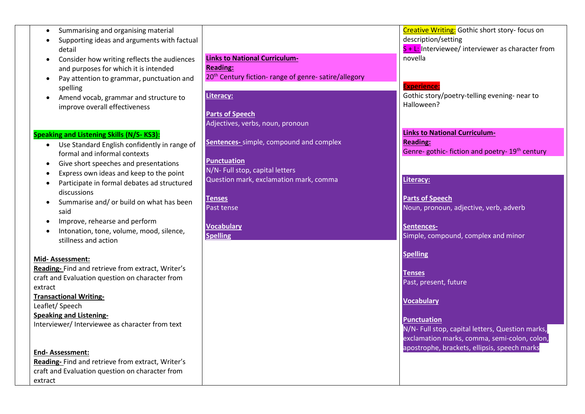- Summarising and organising material
- Supporting ideas and arguments with factual detail
- Consider how writing reflects the audiences and purposes for which it is intended
- Pay attention to grammar, punctuation and spelling
- Amend vocab, grammar and structure to improve overall effectiveness

### **Speaking and Listening Skills (N/S- KS3):**

- Use Standard English confidently in range of formal and informal contexts
- Give short speeches and presentations
- Express own ideas and keep to the point
- Participate in formal debates ad structured discussions
- Summarise and/ or build on what has been said
- Improve, rehearse and perform
- Intonation, tone, volume, mood, silence, stillness and action

#### **Mid- Assessment:**

**Reading-** Find and retrieve from extract, Writer's craft and Evaluation question on character from extract

**Transactional Writing-**

Leaflet/ Speech **Speaking and Listening-**

Interviewer/ Interviewee as character from text

#### **End- Assessment:**

**Reading-** Find and retrieve from extract, Writer's craft and Evaluation question on character from extract

**Links to National Curriculum-Reading:** 20<sup>th</sup> Century fiction- range of genre- satire/allegory

## **Literacy:**

**Parts of Speech** Adjectives, verbs, noun, pronoun

**Sentences-** simple, compound and complex

#### **Punctuation**

N/N- Full stop, capital letters Question mark, exclamation mark, comma

**Tenses** Past tense

**Vocabulary Spelling**

**Creative Writing:** Gothic short story- focus on description/setting  $S + L$ : Interviewee/ interviewer as character from novella

## **Experience:**

Gothic story/poetry-telling evening- near to Halloween?

**Links to National Curriculum-Reading:** Genre- gothic- fiction and poetry- 19<sup>th</sup> century

### **Literacy:**

**Parts of Speech** Noun, pronoun, adjective, verb, adverb

**Sentences-**Simple, compound, complex and minor

#### **Spelling**

**Tenses** Past, present, future

#### **Vocabulary**

**Punctuation** N/N- Full stop, capital letters, Question marks, exclamation marks, comma, semi-colon, colon, apostrophe, brackets, ellipsis, speech marks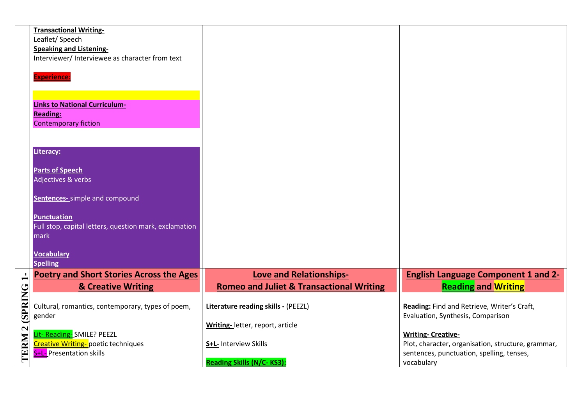|        | <b>Transactional Writing-</b>                          |                                                     |                                                    |
|--------|--------------------------------------------------------|-----------------------------------------------------|----------------------------------------------------|
|        | Leaflet/Speech                                         |                                                     |                                                    |
|        | <b>Speaking and Listening-</b>                         |                                                     |                                                    |
|        | Interviewer/ Interviewee as character from text        |                                                     |                                                    |
|        |                                                        |                                                     |                                                    |
|        | <b>Experience:</b>                                     |                                                     |                                                    |
|        |                                                        |                                                     |                                                    |
|        |                                                        |                                                     |                                                    |
|        | <b>Links to National Curriculum-</b>                   |                                                     |                                                    |
|        | <b>Reading:</b>                                        |                                                     |                                                    |
|        | <b>Contemporary fiction</b>                            |                                                     |                                                    |
|        |                                                        |                                                     |                                                    |
|        |                                                        |                                                     |                                                    |
|        | <b>Literacy:</b>                                       |                                                     |                                                    |
|        |                                                        |                                                     |                                                    |
|        | <b>Parts of Speech</b>                                 |                                                     |                                                    |
|        | Adjectives & verbs                                     |                                                     |                                                    |
|        |                                                        |                                                     |                                                    |
|        | <b>Sentences-</b> simple and compound                  |                                                     |                                                    |
|        |                                                        |                                                     |                                                    |
|        | <b>Punctuation</b>                                     |                                                     |                                                    |
|        | Full stop, capital letters, question mark, exclamation |                                                     |                                                    |
|        | mark                                                   |                                                     |                                                    |
|        |                                                        |                                                     |                                                    |
|        | <b>Vocabulary</b>                                      |                                                     |                                                    |
|        | <b>Spelling</b>                                        |                                                     |                                                    |
|        | <b>Poetry and Short Stories Across the Ages</b>        | <b>Love and Relationships-</b>                      | <b>English Language Component 1 and 2-</b>         |
|        | <b>&amp; Creative Writing</b>                          | <b>Romeo and Juliet &amp; Transactional Writing</b> | <b>Reading and Writing</b>                         |
|        |                                                        |                                                     |                                                    |
|        | Cultural, romantics, contemporary, types of poem,      | Literature reading skills - (PEEZL)                 | Reading: Find and Retrieve, Writer's Craft,        |
|        | gender                                                 |                                                     | Evaluation, Synthesis, Comparison                  |
| 2(SPR) |                                                        | Writing- letter, report, article                    |                                                    |
|        | Lit- Reading- SMILE? PEEZL                             |                                                     | <b>Writing- Creative-</b>                          |
|        | Creative Writing-poetic techniques                     | S+L- Interview Skills                               | Plot, character, organisation, structure, grammar, |
| LERM   | S+L- Presentation skills                               |                                                     | sentences, punctuation, spelling, tenses,          |
|        |                                                        | <b>Reading Skills (N/C-KS3):</b>                    | vocabulary                                         |
|        |                                                        |                                                     |                                                    |

 $\frac{1}{2}$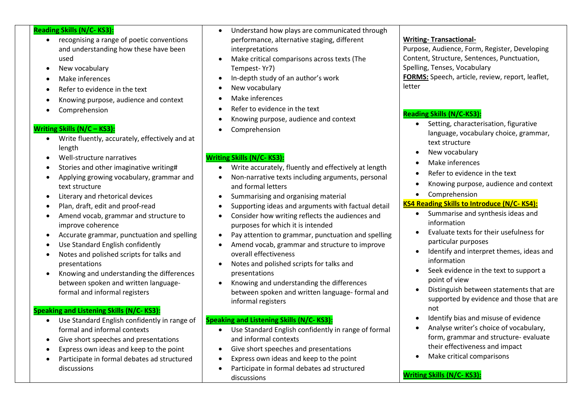### **Reading Skills (N/C- KS3):**

- recognising a range of poetic conventions and understanding how these have been used
- New vocabulary
- Make inferences
- Refer to evidence in the text
- Knowing purpose, audience and context
- Comprehension

## **Writing Skills (N/C – KS3):**

- Write fluently, accurately, effectively and at length
- Well-structure narratives
- Stories and other imaginative writing#
- Applying growing vocabulary, grammar and text structure
- Literary and rhetorical devices
- Plan, draft, edit and proof-read
- Amend vocab, grammar and structure to improve coherence
- Accurate grammar, punctuation and spelling
- Use Standard English confidently
- Notes and polished scripts for talks and presentations
- Knowing and understanding the differences between spoken and written languageformal and informal registers

## **Speaking and Listening Skills (N/C- KS3):**

- Use Standard English confidently in range of formal and informal contexts
- Give short speeches and presentations
- Express own ideas and keep to the point
- Participate in formal debates ad structured discussions
- Understand how plays are communicated through performance, alternative staging, different interpretations
- Make critical comparisons across texts (The Tempest- Yr7)
- In-depth study of an author's work
- New vocabulary
- Make inferences
- Refer to evidence in the text
- Knowing purpose, audience and context
- **Comprehension**

# **Writing Skills (N/C- KS3):**

- Write accurately, fluently and effectively at length
- Non-narrative texts including arguments, personal and formal letters
- Summarising and organising material
- Supporting ideas and arguments with factual detail
- Consider how writing reflects the audiences and purposes for which it is intended
- Pay attention to grammar, punctuation and spelling
- Amend vocab, grammar and structure to improve overall effectiveness
- Notes and polished scripts for talks and presentations
- Knowing and understanding the differences between spoken and written language- formal and informal registers

# **Speaking and Listening Skills (N/C- KS3):**

- Use Standard English confidently in range of formal and informal contexts
- Give short speeches and presentations
- Express own ideas and keep to the point
- Participate in formal debates ad structured discussions

# **Writing- Transactional-**

Purpose, Audience, Form, Register, Developing Content, Structure, Sentences, Punctuation, Spelling, Tenses, Vocabulary

**FORMS:** Speech, article, review, report, leaflet, letter

# **Reading Skills (N/C-KS3):**

- Setting, characterisation, figurative language, vocabulary choice, grammar, text structure
- New vocabulary
- Make inferences
- Refer to evidence in the text
- Knowing purpose, audience and context
- Comprehension

# **KS4 Reading Skills to Introduce (N/C- KS4):**

- Summarise and synthesis ideas and information
- Evaluate texts for their usefulness for particular purposes
- Identify and interpret themes, ideas and information
- Seek evidence in the text to support a point of view
- Distinguish between statements that are supported by evidence and those that are not
- Identify bias and misuse of evidence
- Analyse writer's choice of vocabulary, form, grammar and structure- evaluate their effectiveness and impact
- Make critical comparisons

## **Writing Skills (N/C- KS3):**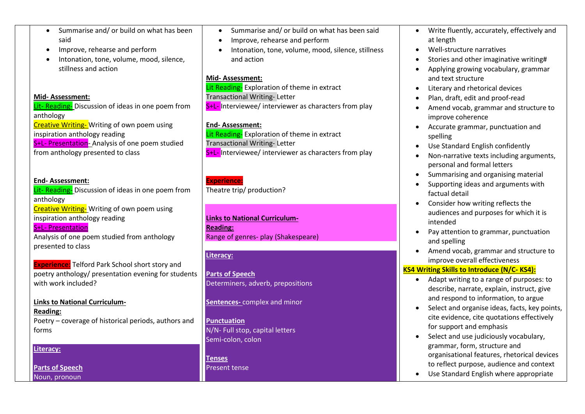- Summarise and/ or build on what has been said
- Improve, rehearse and perform
- Intonation, tone, volume, mood, silence, stillness and action

### **Mid- Assessment:**

Lit- Reading- Discussion of ideas in one poem from anthology Creative Writing- Writing of own poem using inspiration anthology reading S<sup>+L-</sup> Presentation- Analysis of one poem studied from anthology presented to class

## **End- Assessment:**

Lit- Reading- Discussion of ideas in one poem from anthology Creative Writing- Writing of own poem using inspiration anthology reading S+L- Presentation Analysis of one poem studied from anthology presented to class

**Experience:** Telford Park School short story and poetry anthology/ presentation evening for students with work included?

## **Links to National Curriculum-**

**Reading:** Poetry – coverage of historical periods, authors and forms

### **Literacy:**

**Parts of Speech** Noun, pronoun

- Summarise and/ or build on what has been said
- Improve, rehearse and perform
- Intonation, tone, volume, mood, silence, stillness and action

### **Mid- Assessment:**

Lit Reading- Exploration of theme in extract Transactional Writing- Letter S<sup>+</sup>L- Interviewee/ interviewer as characters from play

## **End- Assessment:**

Lit Reading-Exploration of theme in extract Transactional Writing- Letter S<sup>+L-</sup> Interviewee/ interviewer as characters from play

#### **Experience:** Theatre trip/ production?

## **Links to National Curriculum-Reading:** Range of genres- play (Shakespeare)

# **Literacy:**

**Parts of Speech** Determiners, adverb, prepositions

**Sentences-** complex and minor

**Punctuation** N/N- Full stop, capital letters Semi-colon, colon

**Tenses** Present tense

- Write fluently, accurately, effectively and at length
- Well-structure narratives
- Stories and other imaginative writing#
- Applying growing vocabulary, grammar and text structure
- Literary and rhetorical devices
- Plan, draft, edit and proof-read
- Amend vocab, grammar and structure to improve coherence
- Accurate grammar, punctuation and spelling
- Use Standard English confidently
- Non-narrative texts including arguments, personal and formal letters
- Summarising and organising material
- Supporting ideas and arguments with factual detail
- Consider how writing reflects the audiences and purposes for which it is intended
- Pay attention to grammar, punctuation and spelling
- Amend vocab, grammar and structure to improve overall effectiveness

# **KS4 Writing Skills to Introduce (N/C- KS4):**

- Adapt writing to a range of purposes: to describe, narrate, explain, instruct, give and respond to information, to argue
- Select and organise ideas, facts, key points, cite evidence, cite quotations effectively for support and emphasis
- Select and use judiciously vocabulary, grammar, form, structure and organisational features, rhetorical devices to reflect purpose, audience and context
- Use Standard English where appropriate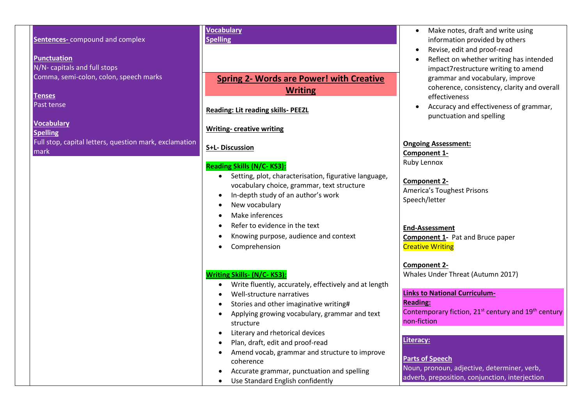**Sentences-** compound and complex **Punctuation** N/N- capitals and full stops Comma, semi-colon, colon, speech marks **Tenses** Past tense

**Vocabulary Spelling** Full stop, capital letters, question mark, exclamation mark

### **Vocabulary Spelling**

# **Spring 2- Words are Power! with Creative Writing**

**Reading: Lit reading skills- PEEZL**

# **Writing- creative writing**

# **S+L- Discussion**

# **Reading Skills (N/C- KS3):**

- Setting, plot, characterisation, figurative language, vocabulary choice, grammar, text structure
- In-depth study of an author's work
- New vocabulary
- Make inferences
- Refer to evidence in the text
- Knowing purpose, audience and context
- Comprehension

# **Writing Skills- (N/C- KS3):**

- Write fluently, accurately, effectively and at length
- Well-structure narratives
- Stories and other imaginative writing#
- Applying growing vocabulary, grammar and text structure
- Literary and rhetorical devices
- Plan, draft, edit and proof-read
- Amend vocab, grammar and structure to improve coherence
- Accurate grammar, punctuation and spelling
- Use Standard English confidently
- Make notes, draft and write using information provided by others
- Revise, edit and proof-read
- Reflect on whether writing has intended impact7restructure writing to amend grammar and vocabulary, improve coherence, consistency, clarity and overall effectiveness
- Accuracy and effectiveness of grammar, punctuation and spelling

## **Ongoing Assessment:**

**Component 1-** Ruby Lennox

# **Component 2-**

America's Toughest Prisons Speech/letter

# **End-Assessment**

**Component 1- Pat and Bruce paper** Creative Writing

**Component 2-** Whales Under Threat (Autumn 2017)

## **Links to National Curriculum-**

**Reading:**

Contemporary fiction, 21<sup>st</sup> century and 19<sup>th</sup> century non-fiction

# **Literacy:**

**Parts of Speech** Noun, pronoun, adjective, determiner, verb, adverb, preposition, conjunction, interjection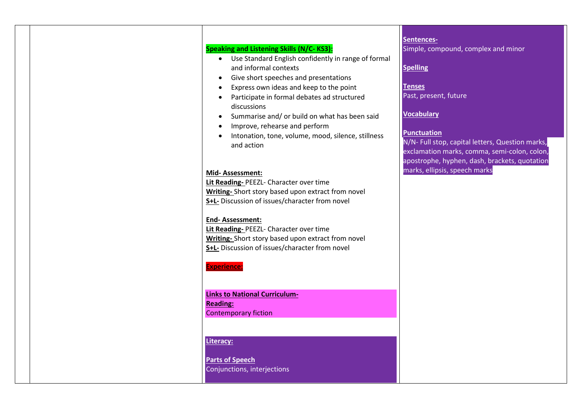# **Speaking and Listening Skills (N/C- KS3):**

- Use Standard English confidently in range of formal and informal contexts
- Give short speeches and presentations
- Express own ideas and keep to the point
- Participate in formal debates ad structured discussions
- Summarise and/ or build on what has been said
- Improve, rehearse and perform
- Intonation, tone, volume, mood, silence, stillness and action

#### **Mid- Assessment:**

**Lit Reading-** PEEZL- Character over time **Writing-** Short story based upon extract from novel **S+L-** Discussion of issues/character from novel

### **End- Assessment:**

**Lit Reading-** PEEZL- Character over time **Writing-** Short story based upon extract from novel **S+L-** Discussion of issues/character from novel

#### **Experience:**

**Links to National Curriculum-Reading:** Contemporary fiction

## **Literacy:**

**Parts of Speech** Conjunctions, interjections

**Sentences-**Simple, compound, complex and minor

#### **Spelling**

**Tenses** Past, present, future

## **Vocabulary**

### **Punctuation**

N/N- Full stop, capital letters, Question marks, exclamation marks, comma, semi-colon, colon, apostrophe, hyphen, dash, brackets, quotation marks, ellipsis, speech marks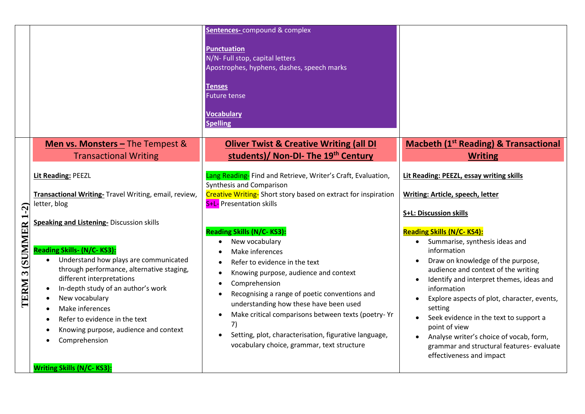|                     |                                                                                                                                                                                                                                                                                                                                                         | Sentences- compound & complex<br><b>Punctuation</b><br>N/N- Full stop, capital letters<br>Apostrophes, hyphens, dashes, speech marks<br><b>Tenses</b><br><b>Future tense</b><br><b>Vocabulary</b><br><b>Spelling</b>                                                                                                                                                                                                                           |                                                                                                                                                                                                                                                                                                                                                                                                                                           |
|---------------------|---------------------------------------------------------------------------------------------------------------------------------------------------------------------------------------------------------------------------------------------------------------------------------------------------------------------------------------------------------|------------------------------------------------------------------------------------------------------------------------------------------------------------------------------------------------------------------------------------------------------------------------------------------------------------------------------------------------------------------------------------------------------------------------------------------------|-------------------------------------------------------------------------------------------------------------------------------------------------------------------------------------------------------------------------------------------------------------------------------------------------------------------------------------------------------------------------------------------------------------------------------------------|
|                     | Men vs. Monsters - The Tempest &<br><b>Transactional Writing</b><br>Lit Reading: PEEZL<br>Transactional Writing- Travel Writing, email, review,<br>letter, blog<br><b>Speaking and Listening- Discussion skills</b>                                                                                                                                     | <b>Oliver Twist &amp; Creative Writing (all DI</b><br>students)/ Non-DI- The 19th Century<br>Lang Reading- Find and Retrieve, Writer's Craft, Evaluation,<br>Synthesis and Comparison<br>Creative Writing-Short story based on extract for inspiration<br>S+L- Presentation skills<br><b>Reading Skills (N/C-KS3):</b>                                                                                                                         | <b>Macbeth (1st Reading) &amp; Transactional</b><br><b>Writing</b><br>Lit Reading: PEEZL, essay writing skills<br><b>Writing: Article, speech, letter</b><br><b>S+L: Discussion skills</b><br><b>Reading Skills (N/C-KS4):</b>                                                                                                                                                                                                            |
| TERM 3 (SUMMER 1-2) | Reading Skills- (N/C-KS3):<br>Understand how plays are communicated<br>through performance, alternative staging,<br>different interpretations<br>In-depth study of an author's work<br>New vocabulary<br>Make inferences<br>Refer to evidence in the text<br>Knowing purpose, audience and context<br>Comprehension<br><b>Writing Skills (N/C-KS3):</b> | New vocabulary<br>$\bullet$<br>Make inferences<br>Refer to evidence in the text<br>Knowing purpose, audience and context<br>Comprehension<br>$\bullet$<br>Recognising a range of poetic conventions and<br>$\bullet$<br>understanding how these have been used<br>Make critical comparisons between texts (poetry-Yr<br>7)<br>Setting, plot, characterisation, figurative language,<br>$\bullet$<br>vocabulary choice, grammar, text structure | Summarise, synthesis ideas and<br>$\bullet$<br>information<br>Draw on knowledge of the purpose,<br>audience and context of the writing<br>Identify and interpret themes, ideas and<br>information<br>Explore aspects of plot, character, events,<br>setting<br>Seek evidence in the text to support a<br>point of view<br>Analyse writer's choice of vocab, form,<br>grammar and structural features-evaluate<br>effectiveness and impact |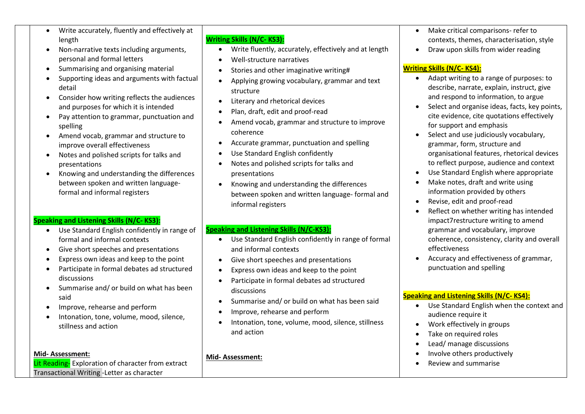- Write accurately, fluently and effectively at length
- Non-narrative texts including arguments, personal and formal letters
- Summarising and organising material
- Supporting ideas and arguments with factual detail
- Consider how writing reflects the audiences and purposes for which it is intended
- Pay attention to grammar, punctuation and spelling
- Amend vocab, grammar and structure to improve overall effectiveness
- Notes and polished scripts for talks and presentations
- Knowing and understanding the differences between spoken and written languageformal and informal registers

# **Speaking and Listening Skills (N/C- KS3):**

- Use Standard English confidently in range of formal and informal contexts
- Give short speeches and presentations
- Express own ideas and keep to the point
- Participate in formal debates ad structured discussions
- Summarise and/ or build on what has been said
- Improve, rehearse and perform
- Intonation, tone, volume, mood, silence, stillness and action

## **Mid- Assessment:**

Lit Reading-Exploration of character from extract Transactional Writing -Letter as character

# **Writing Skills (N/C- KS3):**

- Write fluently, accurately, effectively and at length
- Well-structure narratives
- Stories and other imaginative writing#
- Applying growing vocabulary, grammar and text structure
- Literary and rhetorical devices
- Plan, draft, edit and proof-read
- Amend vocab, grammar and structure to improve coherence
- Accurate grammar, punctuation and spelling
- Use Standard English confidently
- Notes and polished scripts for talks and presentations
- Knowing and understanding the differences between spoken and written language- formal and informal registers

# **Speaking and Listening Skills (N/C-KS3):**

- Use Standard English confidently in range of formal and informal contexts
- Give short speeches and presentations
- Express own ideas and keep to the point
- Participate in formal debates ad structured discussions
- Summarise and/ or build on what has been said
- Improve, rehearse and perform
- Intonation, tone, volume, mood, silence, stillness and action

## **Mid- Assessment:**

- Make critical comparisons- refer to contexts, themes, characterisation, style
- Draw upon skills from wider reading

## **Writing Skills (N/C- KS4):**

- Adapt writing to a range of purposes: to describe, narrate, explain, instruct, give and respond to information, to argue
- Select and organise ideas, facts, key points, cite evidence, cite quotations effectively for support and emphasis
- Select and use judiciously vocabulary, grammar, form, structure and organisational features, rhetorical devices to reflect purpose, audience and context
- Use Standard English where appropriate
- Make notes, draft and write using information provided by others
- Revise, edit and proof-read
- Reflect on whether writing has intended impact7restructure writing to amend grammar and vocabulary, improve coherence, consistency, clarity and overall effectiveness
- Accuracy and effectiveness of grammar, punctuation and spelling

# **Speaking and Listening Skills (N/C- KS4):**

- Use Standard English when the context and audience require it
- Work effectively in groups
- Take on required roles
- Lead/ manage discussions
- Involve others productively
- Review and summarise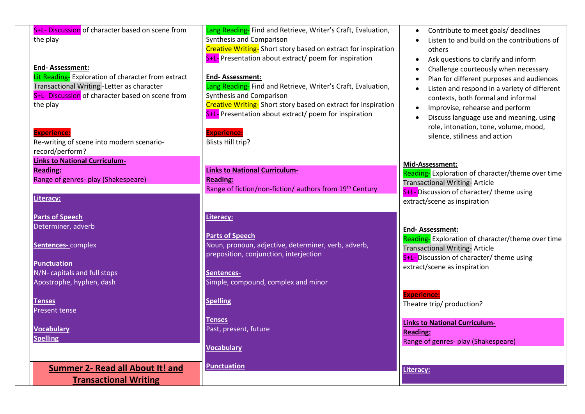| S+L- Discussion of character based on scene from<br>the play<br><b>End-Assessment:</b><br>Lit Reading-Exploration of character from extract<br>Transactional Writing - Letter as character<br>S+L- Discussion of character based on scene from<br>the play<br><b>Experience:</b><br>Re-writing of scene into modern scenario- | Lang Reading- Find and Retrieve, Writer's Craft, Evaluation,<br>Synthesis and Comparison<br>Creative Writing-Short story based on extract for inspiration<br>S+L- Presentation about extract/ poem for inspiration<br><b>End-Assessment:</b><br>Lang Reading- Find and Retrieve, Writer's Craft, Evaluation,<br>Synthesis and Comparison<br>Creative Writing-Short story based on extract for inspiration<br>S+L- Presentation about extract/ poem for inspiration<br><b>Experience:</b><br><b>Blists Hill trip?</b> | Contribute to meet goals/ deadlines<br>Listen to and build on the contributions of<br>others<br>Ask questions to clarify and inform<br>Challenge courteously when necessary<br>Plan for different purposes and audiences<br>Listen and respond in a variety of different<br>contexts, both formal and informal<br>Improvise, rehearse and perform<br>Discuss language use and meaning, using<br>role, intonation, tone, volume, mood,<br>silence, stillness and action |
|-------------------------------------------------------------------------------------------------------------------------------------------------------------------------------------------------------------------------------------------------------------------------------------------------------------------------------|----------------------------------------------------------------------------------------------------------------------------------------------------------------------------------------------------------------------------------------------------------------------------------------------------------------------------------------------------------------------------------------------------------------------------------------------------------------------------------------------------------------------|------------------------------------------------------------------------------------------------------------------------------------------------------------------------------------------------------------------------------------------------------------------------------------------------------------------------------------------------------------------------------------------------------------------------------------------------------------------------|
| record/perform?<br><b>Links to National Curriculum-</b><br><b>Reading:</b><br>Range of genres- play (Shakespeare)<br>Literacy:                                                                                                                                                                                                | <b>Links to National Curriculum-</b><br><b>Reading:</b><br>Range of fiction/non-fiction/ authors from 19th Century                                                                                                                                                                                                                                                                                                                                                                                                   | Mid-Assessment:<br>Reading-Exploration of character/theme over time<br><b>Transactional Writing-Article</b><br>S+L- Discussion of character/ theme using<br>extract/scene as inspiration                                                                                                                                                                                                                                                                               |
| <b>Parts of Speech</b><br>Determiner, adverb<br>Sentences-complex<br><b>Punctuation</b>                                                                                                                                                                                                                                       | Literacy:<br><b>Parts of Speech</b><br>Noun, pronoun, adjective, determiner, verb, adverb,<br>preposition, conjunction, interjection                                                                                                                                                                                                                                                                                                                                                                                 | <b>End-Assessment:</b><br>Reading-Exploration of character/theme over time<br><b>Transactional Writing-Article</b><br>S+L- Discussion of character/ theme using<br>extract/scene as inspiration                                                                                                                                                                                                                                                                        |
| N/N- capitals and full stops<br>Apostrophe, hyphen, dash<br><b>Tenses</b><br><b>Present tense</b>                                                                                                                                                                                                                             | Sentences-<br>Simple, compound, complex and minor<br><b>Spelling</b><br>Tenses                                                                                                                                                                                                                                                                                                                                                                                                                                       | <b>Experience:</b><br>Theatre trip/ production?<br><b>Links to National Curriculum-</b>                                                                                                                                                                                                                                                                                                                                                                                |
| <b>Vocabulary</b><br><b>Spelling</b><br><b>Summer 2- Read all About It! and</b>                                                                                                                                                                                                                                               | Past, present, future<br><b>Vocabulary</b><br><b>Punctuation</b>                                                                                                                                                                                                                                                                                                                                                                                                                                                     | <b>Reading:</b><br>Range of genres- play (Shakespeare)<br>Literacy:                                                                                                                                                                                                                                                                                                                                                                                                    |
| <b>Transactional Writing</b>                                                                                                                                                                                                                                                                                                  |                                                                                                                                                                                                                                                                                                                                                                                                                                                                                                                      |                                                                                                                                                                                                                                                                                                                                                                                                                                                                        |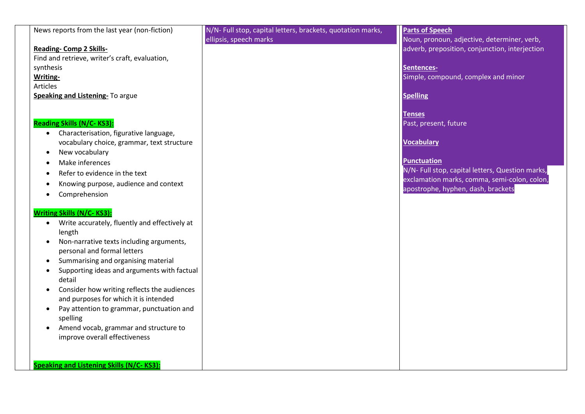| News reports from the last year (non-fiction)              | N/N- Full stop, capital letters, brackets, quotation marks, | <b>Parts of Speech</b>                           |
|------------------------------------------------------------|-------------------------------------------------------------|--------------------------------------------------|
|                                                            | ellipsis, speech marks                                      | Noun, pronoun, adjective, determiner, verb,      |
| <b>Reading- Comp 2 Skills-</b>                             |                                                             | adverb, preposition, conjunction, interjection   |
| Find and retrieve, writer's craft, evaluation,             |                                                             |                                                  |
| synthesis                                                  |                                                             | Sentences-                                       |
| <b>Writing-</b>                                            |                                                             | Simple, compound, complex and minor              |
| Articles                                                   |                                                             |                                                  |
| Speaking and Listening- To argue                           |                                                             | <b>Spelling</b>                                  |
|                                                            |                                                             |                                                  |
|                                                            |                                                             | <b>Tenses</b>                                    |
| <b>Reading Skills (N/C-KS3):</b>                           |                                                             | Past, present, future                            |
| Characterisation, figurative language,<br>$\bullet$        |                                                             |                                                  |
| vocabulary choice, grammar, text structure                 |                                                             | <b>Vocabulary</b>                                |
| New vocabulary<br>$\bullet$                                |                                                             |                                                  |
| Make inferences<br>٠                                       |                                                             | <b>Punctuation</b>                               |
| Refer to evidence in the text<br>٠                         |                                                             | N/N- Full stop, capital letters, Question marks, |
| Knowing purpose, audience and context<br>$\bullet$         |                                                             | exclamation marks, comma, semi-colon, colon,     |
| Comprehension                                              |                                                             | apostrophe, hyphen, dash, brackets               |
| ٠                                                          |                                                             |                                                  |
| <b>Writing Skills (N/C-KS3):</b>                           |                                                             |                                                  |
| Write accurately, fluently and effectively at<br>$\bullet$ |                                                             |                                                  |
| length                                                     |                                                             |                                                  |
| Non-narrative texts including arguments,<br>$\bullet$      |                                                             |                                                  |
| personal and formal letters                                |                                                             |                                                  |
| Summarising and organising material<br>٠                   |                                                             |                                                  |
| Supporting ideas and arguments with factual<br>$\bullet$   |                                                             |                                                  |
| detail                                                     |                                                             |                                                  |
| Consider how writing reflects the audiences<br>$\bullet$   |                                                             |                                                  |
| and purposes for which it is intended                      |                                                             |                                                  |
| Pay attention to grammar, punctuation and<br>٠             |                                                             |                                                  |
| spelling                                                   |                                                             |                                                  |
| Amend vocab, grammar and structure to<br>$\bullet$         |                                                             |                                                  |
| improve overall effectiveness                              |                                                             |                                                  |
|                                                            |                                                             |                                                  |
|                                                            |                                                             |                                                  |
| <b>Speaking and Listening Skills (N/C-KS3):</b>            |                                                             |                                                  |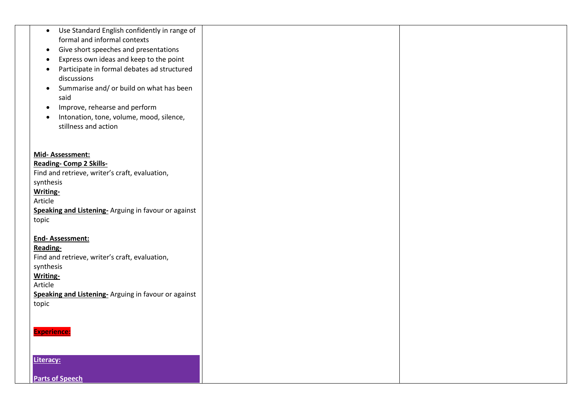| Use Standard English confidently in range of<br>$\bullet$               |  |
|-------------------------------------------------------------------------|--|
| formal and informal contexts                                            |  |
| Give short speeches and presentations<br>$\bullet$                      |  |
| Express own ideas and keep to the point<br>$\bullet$                    |  |
| Participate in formal debates ad structured<br>$\bullet$<br>discussions |  |
| Summarise and/ or build on what has been<br>$\bullet$                   |  |
| said                                                                    |  |
| Improve, rehearse and perform<br>$\bullet$                              |  |
| Intonation, tone, volume, mood, silence,<br>$\bullet$                   |  |
| stillness and action                                                    |  |
|                                                                         |  |
|                                                                         |  |
| Mid-Assessment:                                                         |  |
| <b>Reading- Comp 2 Skills-</b>                                          |  |
| Find and retrieve, writer's craft, evaluation,                          |  |
| synthesis<br>Writing-                                                   |  |
| Article                                                                 |  |
| Speaking and Listening- Arguing in favour or against                    |  |
| topic                                                                   |  |
|                                                                         |  |
| <b>End-Assessment:</b>                                                  |  |
| Reading-                                                                |  |
| Find and retrieve, writer's craft, evaluation,                          |  |
| synthesis<br>Writing-                                                   |  |
| Article                                                                 |  |
| Speaking and Listening- Arguing in favour or against                    |  |
| topic                                                                   |  |
|                                                                         |  |
|                                                                         |  |
| <b>Experience:</b>                                                      |  |
|                                                                         |  |
| Literacy:                                                               |  |
|                                                                         |  |
| <b>Parts of Speech</b>                                                  |  |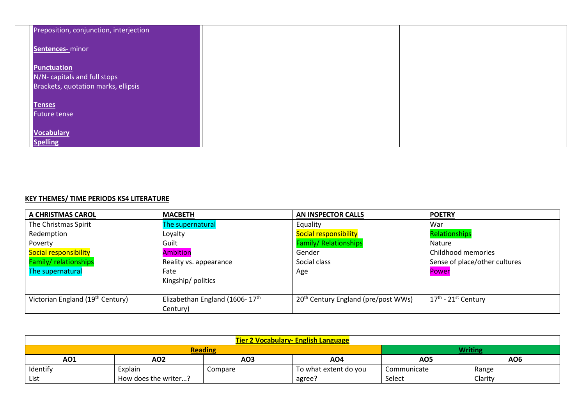| Preposition, conjunction, interjection |  |
|----------------------------------------|--|
| Sentences- minor                       |  |
|                                        |  |
| <b>Punctuation</b>                     |  |
| N/N- capitals and full stops           |  |
| Brackets, quotation marks, ellipsis    |  |
|                                        |  |
| <b>Tenses</b>                          |  |
| <b>Future tense</b>                    |  |
|                                        |  |
| <b>Vocabulary</b>                      |  |
| <b>Spelling</b>                        |  |

## **KEY THEMES/ TIME PERIODS KS4 LITERATURE**

| A CHRISTMAS CAROL                            | <b>MACBETH</b>                             | <b>AN INSPECTOR CALLS</b>                       | <b>POETRY</b>                     |
|----------------------------------------------|--------------------------------------------|-------------------------------------------------|-----------------------------------|
| The Christmas Spirit                         | The supernatural                           | Equality                                        | War                               |
| Redemption                                   | Loyalty                                    | <b>Social responsibility</b>                    | <b>Relationships</b>              |
| Poverty                                      | Guilt                                      | <b>Family/ Relationships</b>                    | Nature                            |
| Social responsibility                        | <b>Ambition</b>                            | Gender                                          | Childhood memories                |
| <b>Family/relationships</b>                  | Reality vs. appearance                     | Social class                                    | Sense of place/other cultures     |
| The supernatural                             | Fate                                       | Age                                             | Power                             |
|                                              | Kingship/politics                          |                                                 |                                   |
|                                              |                                            |                                                 |                                   |
| Victorian England (19 <sup>th</sup> Century) | Elizabethan England (1606-17 <sup>th</sup> | 20 <sup>th</sup> Century England (pre/post WWs) | $17th$ - 21 <sup>st</sup> Century |
|                                              | Century)                                   |                                                 |                                   |

| <b>Tier 2 Vocabulary- English Language</b> |                                  |         |                       |                 |                 |  |
|--------------------------------------------|----------------------------------|---------|-----------------------|-----------------|-----------------|--|
|                                            | <b>Writing</b><br><b>Reading</b> |         |                       |                 |                 |  |
| <u>AO1</u>                                 | <u>AO2</u>                       | AO3     | AO4                   | AO <sub>5</sub> | AO <sub>6</sub> |  |
| Identify                                   | Explain                          | Compare | To what extent do you | Communicate     | Range           |  |
| List                                       | How does the writer?             |         | agree?                | Select          | Clarity         |  |